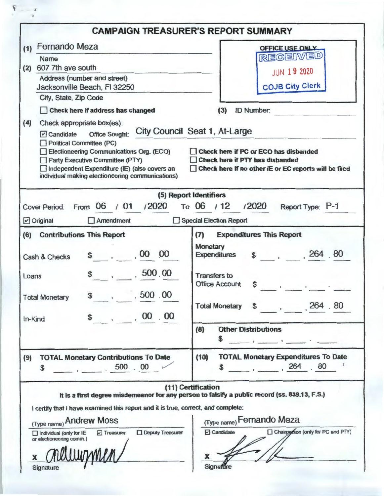| <b>OFFICE USE ONLY</b><br><b>RECEIVED</b><br><b>JUN 19 2020</b><br><b>COJB City Clerk</b><br><b>ID Number:</b><br>(3)<br>City Council Seat 1, At-Large<br>Check here if PC or ECO has disbanded<br>Check here if PTY has disbanded |
|------------------------------------------------------------------------------------------------------------------------------------------------------------------------------------------------------------------------------------|
|                                                                                                                                                                                                                                    |
|                                                                                                                                                                                                                                    |
|                                                                                                                                                                                                                                    |
|                                                                                                                                                                                                                                    |
|                                                                                                                                                                                                                                    |
|                                                                                                                                                                                                                                    |
|                                                                                                                                                                                                                                    |
|                                                                                                                                                                                                                                    |
|                                                                                                                                                                                                                                    |
|                                                                                                                                                                                                                                    |
|                                                                                                                                                                                                                                    |
| Check here if no other IE or EC reports will be filed                                                                                                                                                                              |
|                                                                                                                                                                                                                                    |
| (5) Report Identifiers                                                                                                                                                                                                             |
| To 06 / 12 / 2020<br>Report Type: P-1                                                                                                                                                                                              |
| Special Election Report                                                                                                                                                                                                            |
| <b>Expenditures This Report</b><br>(T)                                                                                                                                                                                             |
| Monetary                                                                                                                                                                                                                           |
| 264, 80<br><b>Expenditures</b><br>$\sim$                                                                                                                                                                                           |
| <b>Transfers to</b>                                                                                                                                                                                                                |
| <b>Office Account</b><br>\$                                                                                                                                                                                                        |
|                                                                                                                                                                                                                                    |
| Total Monetary \$, 264.80                                                                                                                                                                                                          |
|                                                                                                                                                                                                                                    |
| <b>Other Distributions</b><br>(8)                                                                                                                                                                                                  |
| \$                                                                                                                                                                                                                                 |
| <b>TOTAL Monetary Expenditures To Date</b><br>(10)                                                                                                                                                                                 |
|                                                                                                                                                                                                                                    |
| $\frac{1}{264}$ . 80                                                                                                                                                                                                               |
|                                                                                                                                                                                                                                    |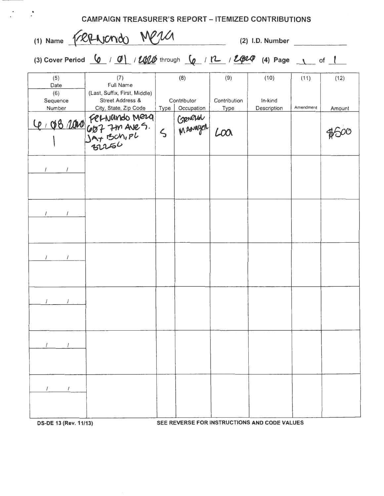| (1) Name TRANCMO MP2<br>(2) I.D. Number  |                                                                                                                                                                                                                                                                                                    |         |                                  |                             |                                |                   |                |
|------------------------------------------|----------------------------------------------------------------------------------------------------------------------------------------------------------------------------------------------------------------------------------------------------------------------------------------------------|---------|----------------------------------|-----------------------------|--------------------------------|-------------------|----------------|
|                                          | (3) Cover Period $\frac{1}{2}$ / $\frac{1}{2}$ / $\frac{1}{2}$ through $\frac{1}{2}$ / $\frac{1}{2}$ / $\frac{1}{2}$ / $\frac{1}{2}$ / $\frac{1}{2}$ / $\frac{1}{2}$ / $\frac{1}{2}$ / $\frac{1}{2}$ / $\frac{1}{2}$ / $\frac{1}{2}$ / $\frac{1}{2}$ / $\frac{1}{2}$ / $\frac{1}{2}$ / $\frac{1}{$ |         |                                  |                             |                                |                   |                |
| (5)<br>Date<br>(6)<br>Sequence<br>Number | (7)<br>Full Name<br>(Last, Suffix, First, Middle)<br>Street Address &<br>City, State, Zip Code                                                                                                                                                                                                     | Type    | (8)<br>Contributor<br>Occupation | (9)<br>Contribution<br>Type | (10)<br>In-kind<br>Description | (11)<br>Amendment | (12)<br>Amount |
|                                          | Le 108 1000 Fernando Mera                                                                                                                                                                                                                                                                          | $\zeta$ | GROCHOL                          | LOO                         |                                |                   |                |
|                                          |                                                                                                                                                                                                                                                                                                    |         |                                  |                             |                                |                   |                |
|                                          |                                                                                                                                                                                                                                                                                                    |         |                                  |                             |                                |                   |                |
|                                          |                                                                                                                                                                                                                                                                                                    |         |                                  |                             |                                |                   |                |
|                                          |                                                                                                                                                                                                                                                                                                    |         |                                  |                             |                                |                   |                |
|                                          |                                                                                                                                                                                                                                                                                                    |         |                                  |                             |                                |                   |                |
|                                          |                                                                                                                                                                                                                                                                                                    |         |                                  |                             |                                |                   |                |